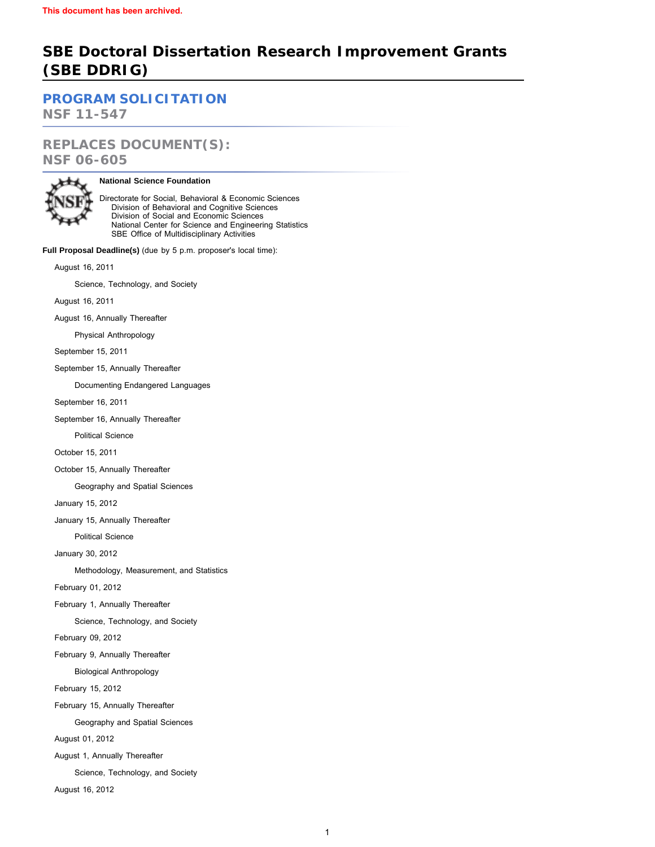# **SBE Doctoral Dissertation Research Improvement Grants (SBE DDRIG)**

**[PROGRAM SOLICITATION](#page-6-0)**

**NSF 11-547**

**REPLACES DOCUMENT(S): NSF 06-605**



# **National Science Foundation**

Directorate for Social, Behavioral & Economic Sciences Division of Behavioral and Cognitive Sciences Division of Social and Economic Sciences National Center for Science and Engineering Statistics SBE Office of Multidisciplinary Activities

**Full Proposal Deadline(s)** (due by 5 p.m. proposer's local time):

August 16, 2011

Science, Technology, and Society

August 16, 2011

August 16, Annually Thereafter

Physical Anthropology

September 15, 2011

September 15, Annually Thereafter

Documenting Endangered Languages

September 16, 2011

September 16, Annually Thereafter

Political Science

October 15, 2011

October 15, Annually Thereafter

Geography and Spatial Sciences

January 15, 2012

January 15, Annually Thereafter

Political Science

January 30, 2012

Methodology, Measurement, and Statistics

February 01, 2012

February 1, Annually Thereafter

Science, Technology, and Society

February 09, 2012

February 9, Annually Thereafter

Biological Anthropology

February 15, 2012

February 15, Annually Thereafter

Geography and Spatial Sciences

August 01, 2012

August 1, Annually Thereafter

Science, Technology, and Society

August 16, 2012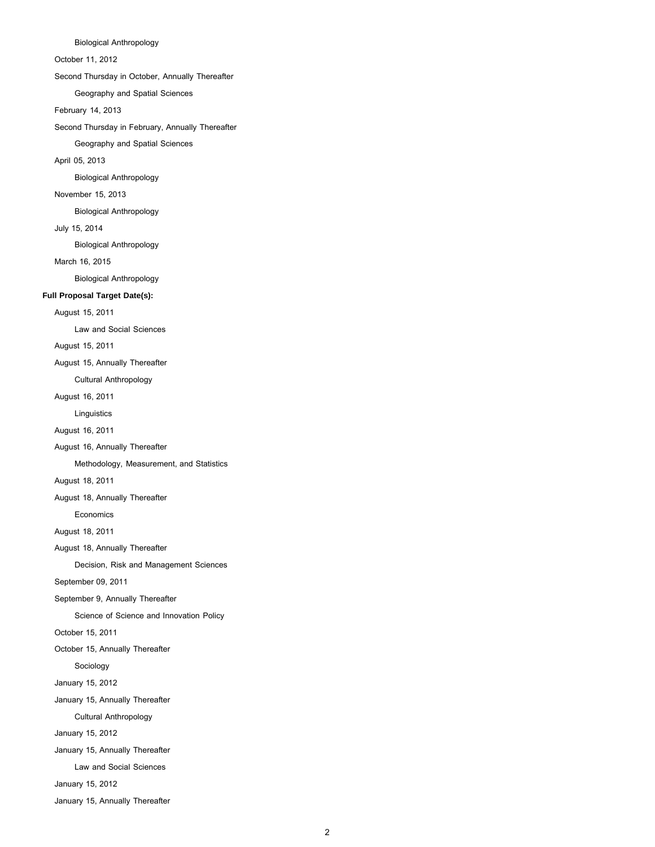Biological Anthropology

October 11, 2012

Second Thursday in October, Annually Thereafter

Geography and Spatial Sciences

February 14, 2013

Second Thursday in February, Annually Thereafter

Geography and Spatial Sciences

April 05, 2013

Biological Anthropology

# November 15, 2013

Biological Anthropology

# July 15, 2014

Biological Anthropology

March 16, 2015

Biological Anthropology

#### **Full Proposal Target Date(s):**

August 15, 2011

Law and Social Sciences

August 15, 2011

August 15, Annually Thereafter

Cultural Anthropology

August 16, 2011

Linguistics

August 16, 2011

August 16, Annually Thereafter

Methodology, Measurement, and Statistics

August 18, 2011

August 18, Annually Thereafter

Economics

August 18, 2011

August 18, Annually Thereafter

Decision, Risk and Management Sciences

September 09, 2011

September 9, Annually Thereafter

Science of Science and Innovation Policy

October 15, 2011

October 15, Annually Thereafter

Sociology

January 15, 2012

January 15, Annually Thereafter

Cultural Anthropology

January 15, 2012

January 15, Annually Thereafter

Law and Social Sciences

January 15, 2012

January 15, Annually Thereafter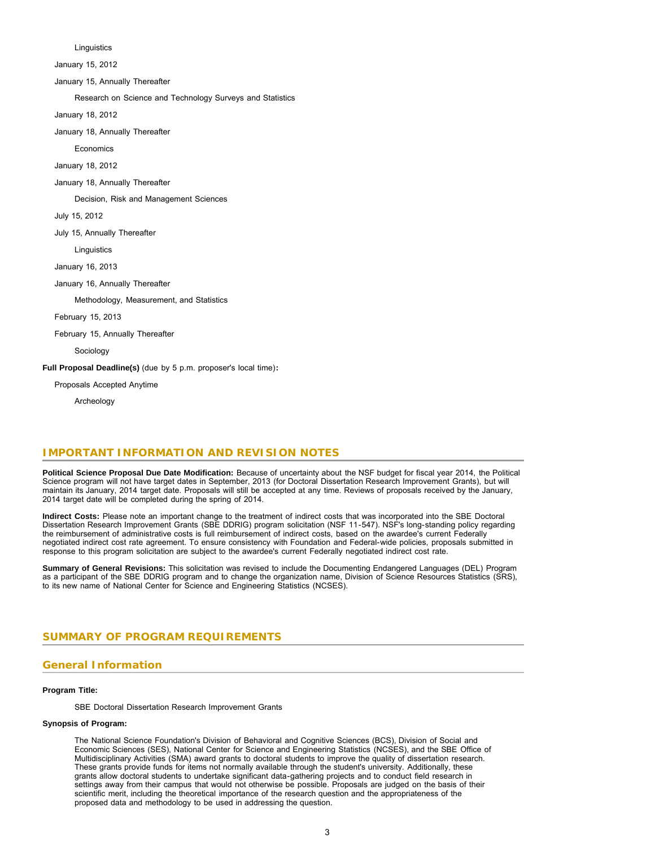Linguistics

January 15, 2012

January 15, Annually Thereafter

Research on Science and Technology Surveys and Statistics

January 18, 2012

January 18, Annually Thereafter

**Economics** 

January 18, 2012

January 18, Annually Thereafter

Decision, Risk and Management Sciences

July 15, 2012

July 15, Annually Thereafter

**Linguistics** 

January 16, 2013

January 16, Annually Thereafter

Methodology, Measurement, and Statistics

February 15, 2013

February 15, Annually Thereafter

Sociology

**Full Proposal Deadline(s)** (due by 5 p.m. proposer's local time)**:**

Proposals Accepted Anytime

Archeology

# **IMPORTANT INFORMATION AND REVISION NOTES**

**Political Science Proposal Due Date Modification:** Because of uncertainty about the NSF budget for fiscal year 2014, the Political Science program will not have target dates in September, 2013 (for Doctoral Dissertation Research Improvement Grants), but will maintain its January, 2014 target date. Proposals will still be accepted at any time. Reviews of proposals received by the January, 2014 target date will be completed during the spring of 2014.

**Indirect Costs:** Please note an important change to the treatment of indirect costs that was incorporated into the SBE Doctoral Dissertation Research Improvement Grants (SBE DDRIG) program solicitation (NSF 11-547). NSF's long-standing policy regarding the reimbursement of administrative costs is full reimbursement of indirect costs, based on the awardee's current Federally negotiated indirect cost rate agreement. To ensure consistency with Foundation and Federal-wide policies, proposals submitted in response to this program solicitation are subject to the awardee's current Federally negotiated indirect cost rate.

**Summary of General Revisions:** This solicitation was revised to include the Documenting Endangered Languages (DEL) Program as a participant of the SBE DDRIG program and to change the organization name, Division of Science Resources Statistics (SRS), to its new name of National Center for Science and Engineering Statistics (NCSES).

### <span id="page-2-0"></span>**SUMMARY OF PROGRAM REQUIREMENTS**

# **General Information**

#### **Program Title:**

SBE Doctoral Dissertation Research Improvement Grants

### **Synopsis of Program:**

The National Science Foundation's Division of Behavioral and Cognitive Sciences (BCS), Division of Social and Economic Sciences (SES), National Center for Science and Engineering Statistics (NCSES), and the SBE Office of Multidisciplinary Activities (SMA) award grants to doctoral students to improve the quality of dissertation research. These grants provide funds for items not normally available through the student's university. Additionally, these grants allow doctoral students to undertake significant data-gathering projects and to conduct field research in settings away from their campus that would not otherwise be possible. Proposals are judged on the basis of their scientific merit, including the theoretical importance of the research question and the appropriateness of the proposed data and methodology to be used in addressing the question.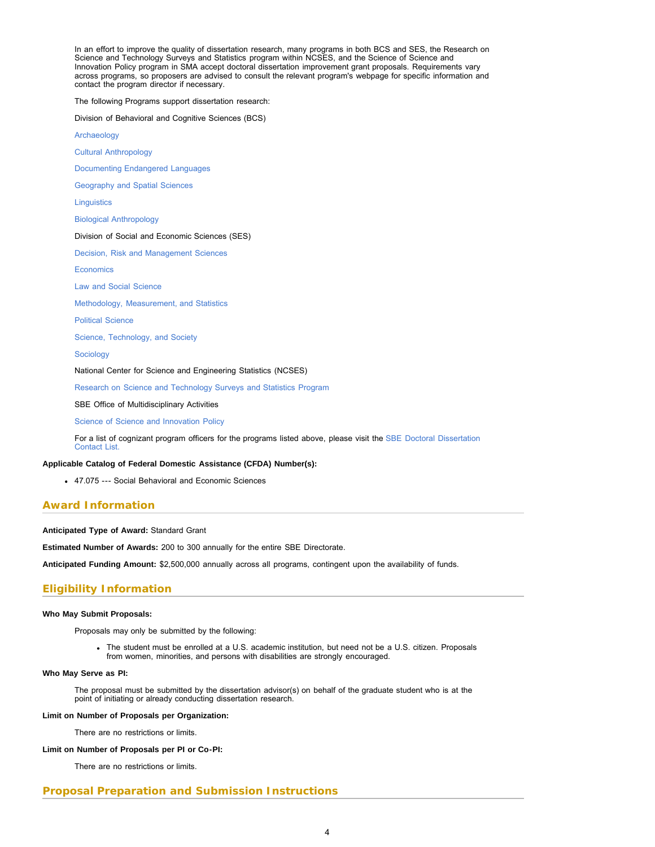In an effort to improve the quality of dissertation research, many programs in both BCS and SES, the Research on Science and Technology Surveys and Statistics program within NCSES, and the Science of Science and Innovation Policy program in SMA accept doctoral dissertation improvement grant proposals. Requirements vary across programs, so proposers are advised to consult the relevant program's webpage for specific information and contact the program director if necessary.

The following Programs support dissertation research:

Division of Behavioral and Cognitive Sciences (BCS)

[Archaeology](http://www.nsf.gov/sbe/bcs/arch/suppdiss.jsp)

[Cultural Anthropology](http://www.nsf.gov/sbe/bcs/anthro/suppdiss.jsp)

[Documenting Endangered Languages](http://www.nsf.gov/sbe/bcs/DEL/DELsuppdiss.jsp)

[Geography and Spatial Sciences](http://www.nsf.gov/sbe/bcs/grs/suppdiss.jsp)

**[Linguistics](http://www.nsf.gov/sbe/bcs/ling/suppdiss.jsp)** 

[Biological Anthropology](http://www.nsf.gov/sbe/bcs/phys/suppdiss.jsp)

#### Division of Social and Economic Sciences (SES)

[Decision, Risk and Management Sciences](http://www.nsf.gov/sbe/ses/drms/ddrip1.jsp)

**[Economics](http://www.nsf.gov/sbe/ses/econ/ddrip1.jsp)** 

[Law and Social Science](http://www.nsf.gov/sbe/ses/law/lawguide1.jsp)

[Methodology, Measurement, and Statistics](http://www.nsf.gov/sbe/ses/mms/diss1.jsp)

[Political Science](http://www.nsf.gov/sbe/ses/polisci/ddrip1.jsp)

[Science, Technology, and Society](http://www.nsf.gov/sbe/ses/ssociety/ssdiss1.jsp)

[Sociology](http://www.nsf.gov/sbe/ses/soc/socckl1.jsp)

National Center for Science and Engineering Statistics (NCSES)

[Research on Science and Technology Surveys and Statistics Program](http://www.nsf.gov/sbe/ddig_srs.jsp)

SBE Office of Multidisciplinary Activities

[Science of Science and Innovation Policy](http://www.nsf.gov/sbe/scisip/ddrig.jsp)

For a list of cognizant program officers for the programs listed above, please visit the [SBE Doctoral Dissertation](http://www.nsf.gov/sbe/ddrig_contacts.jsp) [Contact List.](http://www.nsf.gov/sbe/ddrig_contacts.jsp)

#### **Applicable Catalog of Federal Domestic Assistance (CFDA) Number(s):**

47.075 --- Social Behavioral and Economic Sciences

# **Award Information**

**Anticipated Type of Award:** Standard Grant

**Estimated Number of Awards:** 200 to 300 annually for the entire SBE Directorate.

**Anticipated Funding Amount:** \$2,500,000 annually across all programs, contingent upon the availability of funds.

#### **Eligibility Information**

#### **Who May Submit Proposals:**

Proposals may only be submitted by the following:

The student must be enrolled at a U.S. academic institution, but need not be a U.S. citizen. Proposals from women, minorities, and persons with disabilities are strongly encouraged.

#### **Who May Serve as PI:**

The proposal must be submitted by the dissertation advisor(s) on behalf of the graduate student who is at the point of initiating or already conducting dissertation research.

#### **Limit on Number of Proposals per Organization:**

There are no restrictions or limits.

#### **Limit on Number of Proposals per PI or Co-PI:**

There are no restrictions or limits.

### **Proposal Preparation and Submission Instructions**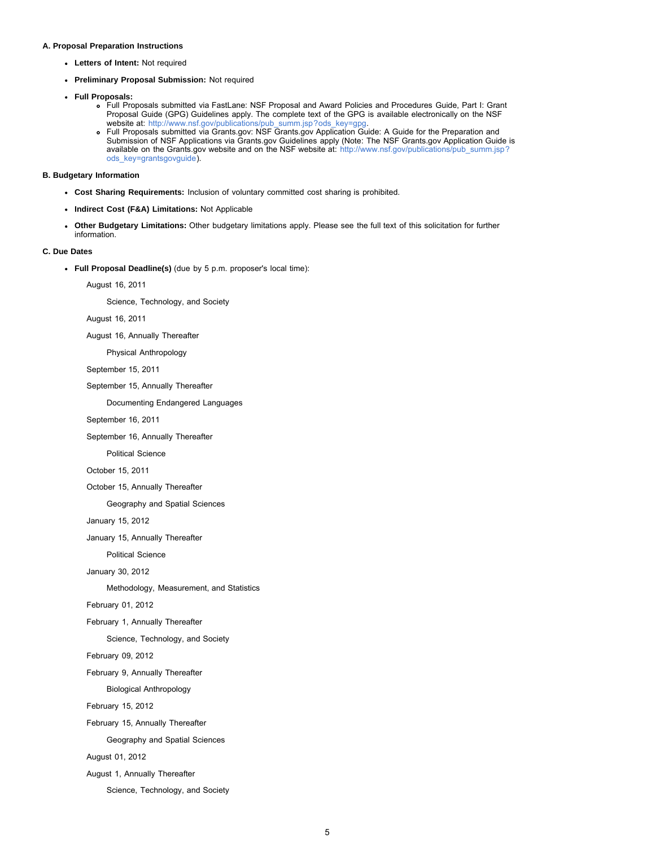#### **A. Proposal Preparation Instructions**

- **Letters of Intent:** Not required
- **Preliminary Proposal Submission:** Not required
- **Full Proposals:**
	- Full Proposals submitted via FastLane: NSF Proposal and Award Policies and Procedures Guide, Part I: Grant Proposal Guide (GPG) Guidelines apply. The complete text of the GPG is available electronically on the NSF website at: [http://www.nsf.gov/publications/pub\\_summ.jsp?ods\\_key=gpg.](http://www.nsf.gov/publications/pub_summ.jsp?ods_key=gpg)
	- Full Proposals submitted via Grants.gov: NSF Grants.gov Application Guide: A Guide for the Preparation and Submission of NSF Applications via Grants.gov Guidelines apply (Note: The NSF Grants.gov Application Guide is available on the Grants.gov website and on the NSF website at: [http://www.nsf.gov/publications/pub\\_summ.jsp?](http://www.nsf.gov/publications/pub_summ.jsp?ods_key=grantsgovguide) [ods\\_key=grantsgovguide\)](http://www.nsf.gov/publications/pub_summ.jsp?ods_key=grantsgovguide).

**B. Budgetary Information**

- **Cost Sharing Requirements:** Inclusion of voluntary committed cost sharing is prohibited.
- **Indirect Cost (F&A) Limitations:** Not Applicable
- **Other Budgetary Limitations:** Other budgetary limitations apply. Please see the full text of this solicitation for further information.

#### **C. Due Dates**

**Full Proposal Deadline(s)** (due by 5 p.m. proposer's local time):

August 16, 2011

Science, Technology, and Society

August 16, 2011

August 16, Annually Thereafter

Physical Anthropology

September 15, 2011

September 15, Annually Thereafter

Documenting Endangered Languages

September 16, 2011

September 16, Annually Thereafter

Political Science

October 15, 2011

October 15, Annually Thereafter

Geography and Spatial Sciences

January 15, 2012

January 15, Annually Thereafter

Political Science

January 30, 2012

Methodology, Measurement, and Statistics

February 01, 2012

February 1, Annually Thereafter

Science, Technology, and Society

February 09, 2012

February 9, Annually Thereafter

Biological Anthropology

February 15, 2012

February 15, Annually Thereafter

Geography and Spatial Sciences

August 01, 2012

August 1, Annually Thereafter

Science, Technology, and Society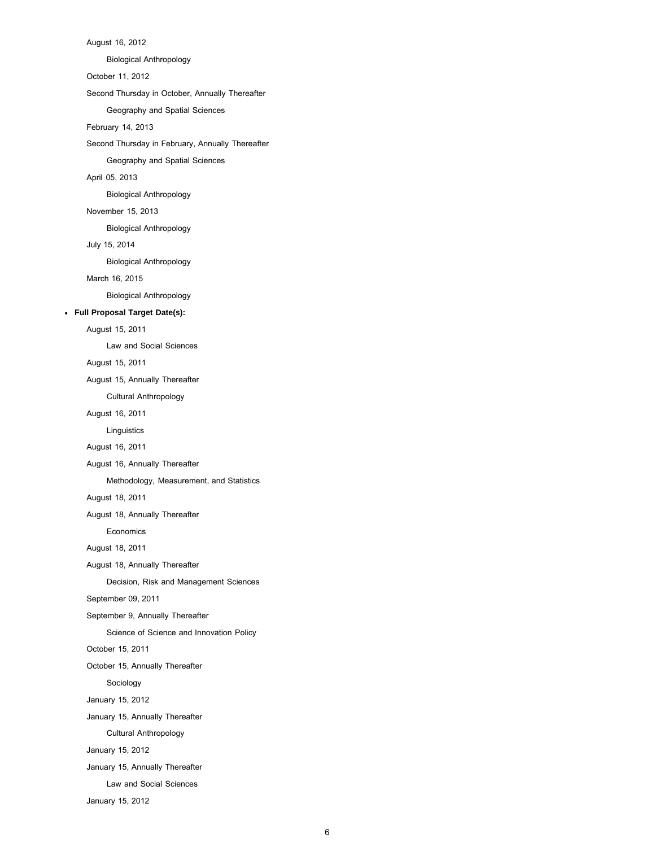August 16, 2012 Biological Anthropology October 11, 2012 Second Thursday in October, Annually Thereafter Geography and Spatial Sciences February 14, 2013 Second Thursday in February, Annually Thereafter Geography and Spatial Sciences April 05, 2013 Biological Anthropology November 15, 2013 Biological Anthropology July 15, 2014 Biological Anthropology March 16, 2015 Biological Anthropology **Full Proposal Target Date(s):** August 15, 2011 Law and Social Sciences August 15, 2011 August 15, Annually Thereafter Cultural Anthropology August 16, 2011 Linguistics August 16, 2011 August 16, Annually Thereafter Methodology, Measurement, and Statistics August 18, 2011 August 18, Annually Thereafter Economics August 18, 2011 August 18, Annually Thereafter Decision, Risk and Management Sciences September 09, 2011 September 9, Annually Thereafter Science of Science and Innovation Policy October 15, 2011 October 15, Annually Thereafter Sociology January 15, 2012 January 15, Annually Thereafter Cultural Anthropology January 15, 2012 January 15, Annually Thereafter Law and Social Sciences January 15, 2012

6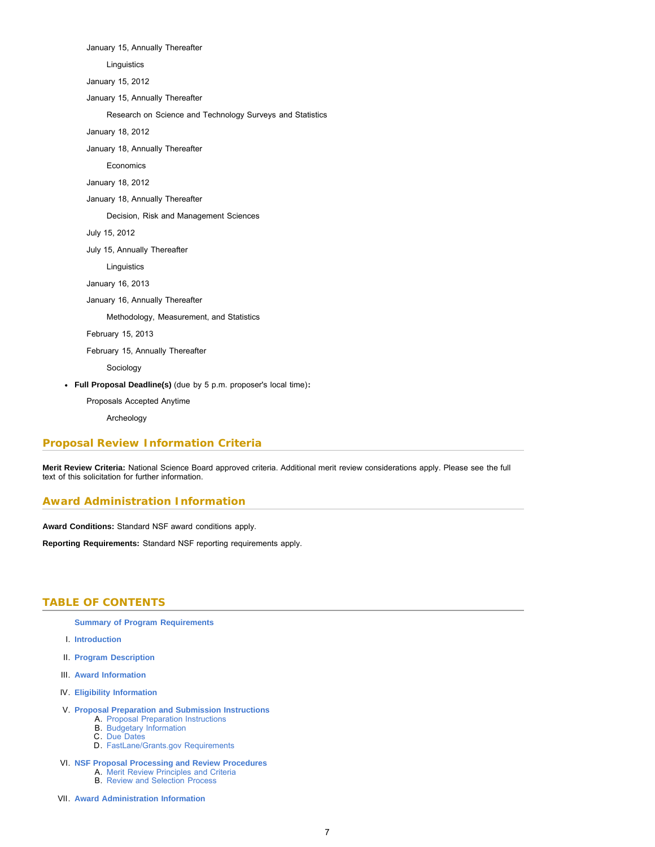January 15, Annually Thereafter Linguistics January 15, 2012 January 15, Annually Thereafter Research on Science and Technology Surveys and Statistics January 18, 2012 January 18, Annually Thereafter Economics January 18, 2012 January 18, Annually Thereafter Decision, Risk and Management Sciences July 15, 2012 July 15, Annually Thereafter Linguistics January 16, 2013 January 16, Annually Thereafter Methodology, Measurement, and Statistics February 15, 2013 February 15, Annually Thereafter Sociology **Full Proposal Deadline(s)** (due by 5 p.m. proposer's local time)**:**

Proposals Accepted Anytime

Archeology

### **Proposal Review Information Criteria**

**Merit Review Criteria:** National Science Board approved criteria. Additional merit review considerations apply. Please see the full text of this solicitation for further information.

### **Award Administration Information**

**Award Conditions:** Standard NSF award conditions apply.

<span id="page-6-0"></span>**Reporting Requirements:** Standard NSF reporting requirements apply.

### **TABLE OF CONTENTS**

**[Summary of Program Requirements](#page-2-0)**

- I. **[Introduction](#page-7-0)**
- II. **[Program Description](#page-7-1)**
- III. **[Award Information](#page-7-2)**
- IV. **[Eligibility Information](#page-7-3)**
- V. **[Proposal Preparation and Submission Instructions](#page-8-0)**
	- A. [Proposal Preparation Instructions](#page-8-0)
	- B. [Budgetary Information](#page-9-0) C. [Due Dates](#page-9-1)
	-
	- D. [FastLane/Grants.gov Requirements](#page-11-0)
- VI. **[NSF Proposal Processing and Review Procedures](#page-11-1)**
	- A. [Merit Review Principles and Criteria](#page-12-0)
	- B. [Review and Selection Process](#page-13-0)
- VII. **[Award Administration Information](#page-13-1)**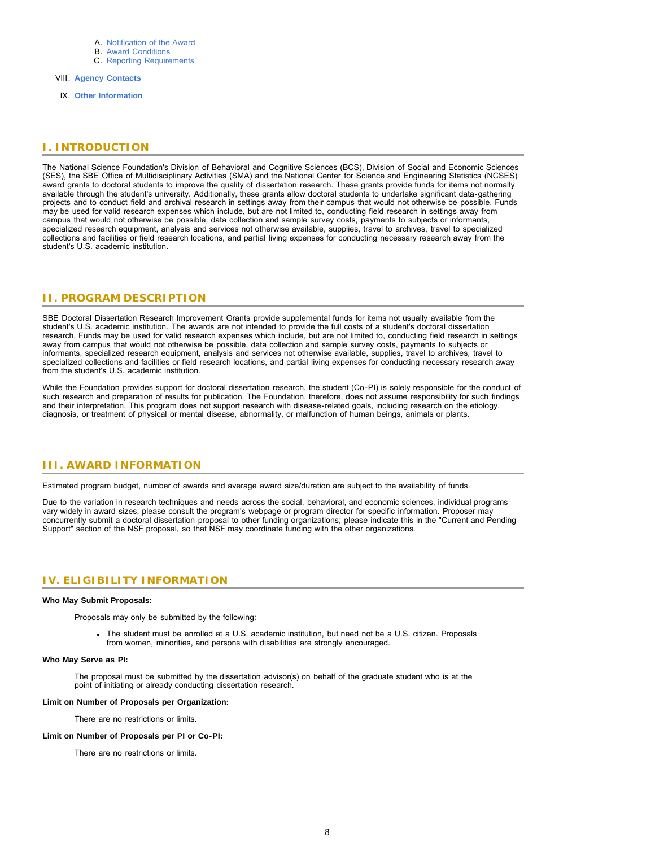- A. [Notification of the Award](#page-13-2)
- B. [Award Conditions](#page-13-3) C. [Reporting Requirements](#page-14-0)
- VIII. **[Agency Contacts](#page-14-1)**
- IX. **[Other Information](#page-14-2)**

# <span id="page-7-0"></span>**I. INTRODUCTION**

The National Science Foundation's Division of Behavioral and Cognitive Sciences (BCS), Division of Social and Economic Sciences (SES), the SBE Office of Multidisciplinary Activities (SMA) and the National Center for Science and Engineering Statistics (NCSES) award grants to doctoral students to improve the quality of dissertation research. These grants provide funds for items not normally available through the student's university. Additionally, these grants allow doctoral students to undertake significant data-gathering projects and to conduct field and archival research in settings away from their campus that would not otherwise be possible. Funds may be used for valid research expenses which include, but are not limited to, conducting field research in settings away from campus that would not otherwise be possible, data collection and sample survey costs, payments to subjects or informants, specialized research equipment, analysis and services not otherwise available, supplies, travel to archives, travel to specialized collections and facilities or field research locations, and partial living expenses for conducting necessary research away from the student's U.S. academic institution.

# <span id="page-7-1"></span>**II. PROGRAM DESCRIPTION**

SBE Doctoral Dissertation Research Improvement Grants provide supplemental funds for items not usually available from the student's U.S. academic institution. The awards are not intended to provide the full costs of a student's doctoral dissertation research. Funds may be used for valid research expenses which include, but are not limited to, conducting field research in settings away from campus that would not otherwise be possible, data collection and sample survey costs, payments to subjects or informants, specialized research equipment, analysis and services not otherwise available, supplies, travel to archives, travel to specialized collections and facilities or field research locations, and partial living expenses for conducting necessary research away from the student's U.S. academic institution.

While the Foundation provides support for doctoral dissertation research, the student (Co-PI) is solely responsible for the conduct of such research and preparation of results for publication. The Foundation, therefore, does not assume responsibility for such findings and their interpretation. This program does not support research with disease-related goals, including research on the etiology, diagnosis, or treatment of physical or mental disease, abnormality, or malfunction of human beings, animals or plants.

### <span id="page-7-2"></span>**III. AWARD INFORMATION**

Estimated program budget, number of awards and average award size/duration are subject to the availability of funds.

Due to the variation in research techniques and needs across the social, behavioral, and economic sciences, individual programs vary widely in award sizes; please consult the program's webpage or program director for specific information. Proposer may concurrently submit a doctoral dissertation proposal to other funding organizations; please indicate this in the "Current and Pending Support" section of the NSF proposal, so that NSF may coordinate funding with the other organizations.

# <span id="page-7-3"></span>**IV. ELIGIBILITY INFORMATION**

#### **Who May Submit Proposals:**

Proposals may only be submitted by the following:

The student must be enrolled at a U.S. academic institution, but need not be a U.S. citizen. Proposals from women, minorities, and persons with disabilities are strongly encouraged.

#### **Who May Serve as PI:**

The proposal must be submitted by the dissertation advisor(s) on behalf of the graduate student who is at the point of initiating or already conducting dissertation research.

#### **Limit on Number of Proposals per Organization:**

There are no restrictions or limits.

#### **Limit on Number of Proposals per PI or Co-PI:**

There are no restrictions or limits.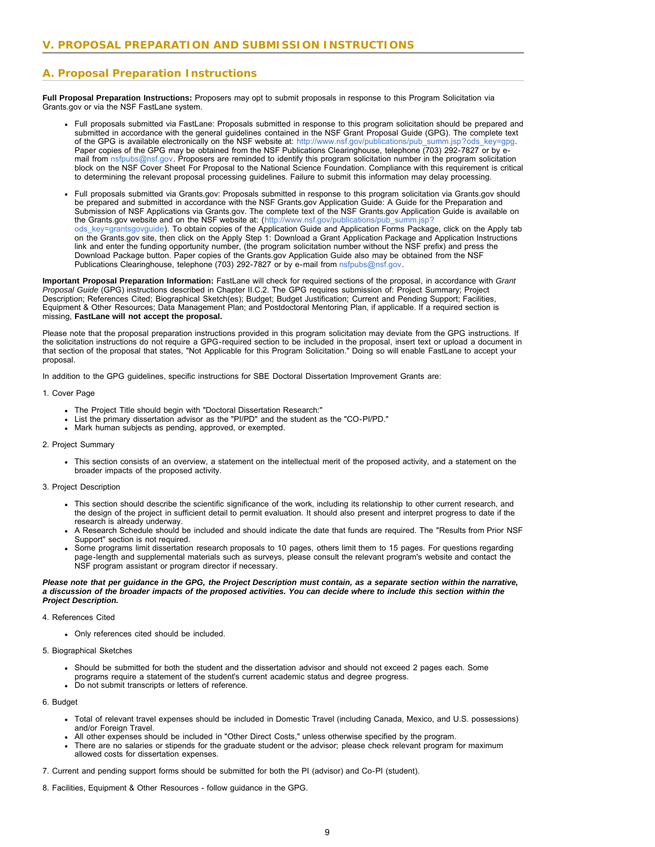# <span id="page-8-0"></span>**A. Proposal Preparation Instructions**

**Full Proposal Preparation Instructions:** Proposers may opt to submit proposals in response to this Program Solicitation via Grants.gov or via the NSF FastLane system.

- Full proposals submitted via FastLane: Proposals submitted in response to this program solicitation should be prepared and submitted in accordance with the general guidelines contained in the NSF Grant Proposal Guide (GPG). The complete text of the GPG is available electronically on the NSF website at: [http://www.nsf.gov/publications/pub\\_summ.jsp?ods\\_key=gpg.](http://www.nsf.gov/publications/pub_summ.jsp?ods_key=gpg) Paper copies of the GPG may be obtained from the NSF Publications Clearinghouse, telephone (703) 292-7827 or by email from [nsfpubs@nsf.gov.](mailto:nsfpubs@nsf.gov) Proposers are reminded to identify this program solicitation number in the program solicitation block on the NSF Cover Sheet For Proposal to the National Science Foundation. Compliance with this requirement is critical to determining the relevant proposal processing guidelines. Failure to submit this information may delay processing.
- Full proposals submitted via Grants.gov: Proposals submitted in response to this program solicitation via Grants.gov should be prepared and submitted in accordance with the NSF Grants.gov Application Guide: A Guide for the Preparation and Submission of NSF Applications via Grants.gov. The complete text of the NSF Grants.gov Application Guide is available on the Grants.gov website and on the NSF website at: ([http://www.nsf.gov/publications/pub\\_summ.jsp?](http://www.nsf.gov/publications/pub_summ.jsp?ods_key=grantsgovguide) [ods\\_key=grantsgovguide\)](http://www.nsf.gov/publications/pub_summ.jsp?ods_key=grantsgovguide). To obtain copies of the Application Guide and Application Forms Package, click on the Apply tab on the Grants.gov site, then click on the Apply Step 1: Download a Grant Application Package and Application Instructions link and enter the funding opportunity number, (the program solicitation number without the NSF prefix) and press the Download Package button. Paper copies of the Grants.gov Application Guide also may be obtained from the NSF Publications Clearinghouse, telephone (703) 292-7827 or by e-mail from [nsfpubs@nsf.gov.](mailto:nsfpubs@nsf.gov)

**Important Proposal Preparation Information:** FastLane will check for required sections of the proposal, in accordance with *Grant Proposal Guide* (GPG) instructions described in Chapter II.C.2. The GPG requires submission of: Project Summary; Project Description; References Cited; Biographical Sketch(es); Budget; Budget Justification; Current and Pending Support; Facilities, Equipment & Other Resources; Data Management Plan; and Postdoctoral Mentoring Plan, if applicable. If a required section is missing, **FastLane will not accept the proposal.**

Please note that the proposal preparation instructions provided in this program solicitation may deviate from the GPG instructions. If the solicitation instructions do not require a GPG-required section to be included in the proposal, insert text or upload a document in that section of the proposal that states, "Not Applicable for this Program Solicitation." Doing so will enable FastLane to accept your proposal.

In addition to the GPG guidelines, specific instructions for SBE Doctoral Dissertation Improvement Grants are:

#### 1. Cover Page

- The Project Title should begin with "Doctoral Dissertation Research:"
- List the primary dissertation advisor as the "PI/PD" and the student as the "CO-PI/PD."
- Mark human subjects as pending, approved, or exempted.

#### 2. Project Summary

This section consists of an overview, a statement on the intellectual merit of the proposed activity, and a statement on the broader impacts of the proposed activity.

#### 3. Project Description

- This section should describe the scientific significance of the work, including its relationship to other current research, and the design of the project in sufficient detail to permit evaluation. It should also present and interpret progress to date if the research is already underway.
- A Research Schedule should be included and should indicate the date that funds are required. The "Results from Prior NSF Support" section is not required.
- Some programs limit dissertation research proposals to 10 pages, others limit them to 15 pages. For questions regarding page-length and supplemental materials such as surveys, please consult the relevant program's website and contact the NSF program assistant or program director if necessary.

#### *Please note that per guidance in the GPG, the Project Description must contain, as a separate section within the narrative, a discussion of the broader impacts of the proposed activities. You can decide where to include this section within the Project Description.*

#### 4. References Cited

Only references cited should be included.

#### 5. Biographical Sketches

- Should be submitted for both the student and the dissertation advisor and should not exceed 2 pages each. Some programs require a statement of the student's current academic status and degree progress.
- Do not submit transcripts or letters of reference.

#### 6. Budget

- Total of relevant travel expenses should be included in Domestic Travel (including Canada, Mexico, and U.S. possessions) and/or Foreign Travel.
- All other expenses should be included in "Other Direct Costs," unless otherwise specified by the program.
- There are no salaries or stipends for the graduate student or the advisor; please check relevant program for maximum allowed costs for dissertation expenses.

7. Current and pending support forms should be submitted for both the PI (advisor) and Co-PI (student).

8. Facilities, Equipment & Other Resources - follow guidance in the GPG.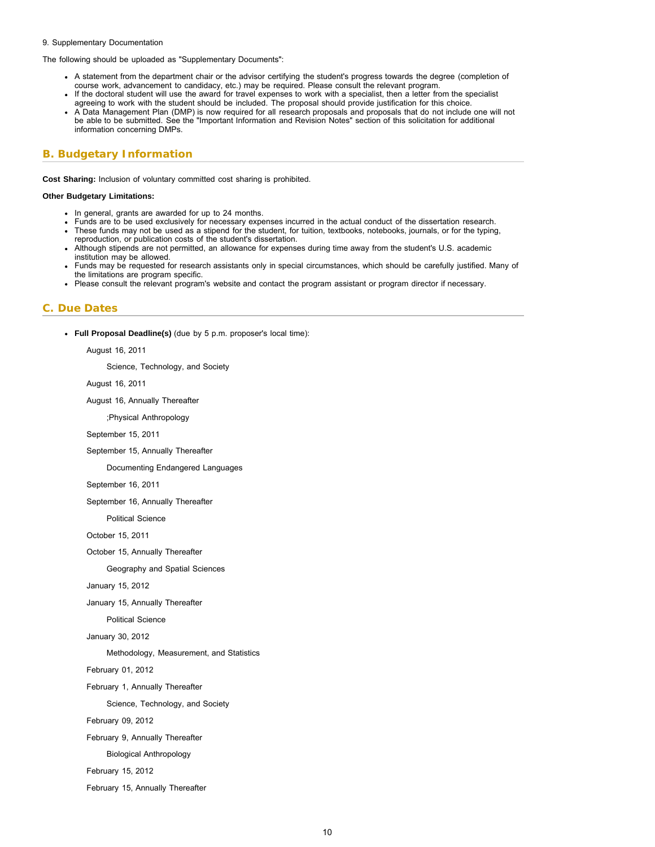#### <span id="page-9-1"></span>9. Supplementary Documentation

The following should be uploaded as "Supplementary Documents":

- A statement from the department chair or the advisor certifying the student's progress towards the degree (completion of course work, advancement to candidacy, etc.) may be required. Please consult the relevant program.
- If the doctoral student will use the award for travel expenses to work with a specialist, then a letter from the specialist agreeing to work with the student should be included. The proposal should provide justification for this choice. A Data Management Plan (DMP) is now required for all research proposals and proposals that do not include one will not
- be able to be submitted. See the "Important Information and Revision Notes" section of this solicitation for additional information concerning DMPs.

# <span id="page-9-0"></span>**B. Budgetary Information**

**Cost Sharing:** Inclusion of voluntary committed cost sharing is prohibited.

#### **Other Budgetary Limitations:**

- In general, grants are awarded for up to 24 months.
- Funds are to be used exclusively for necessary expenses incurred in the actual conduct of the dissertation research.
- These funds may not be used as a stipend for the student, for tuition, textbooks, notebooks, journals, or for the typing, reproduction, or publication costs of the student's dissertation.
- Although stipends are not permitted, an allowance for expenses during time away from the student's U.S. academic institution may be allowed.
- Funds may be requested for research assistants only in special circumstances, which should be carefully justified. Many of the limitations are program specific.
- Please consult the relevant program's website and contact the program assistant or program director if necessary.

### **C. Due Dates**

**Full Proposal Deadline(s)** (due by 5 p.m. proposer's local time):

August 16, 2011

Science, Technology, and Society

August 16, 2011

August 16, Annually Thereafter

;Physical Anthropology

September 15, 2011

September 15, Annually Thereafter

Documenting Endangered Languages

September 16, 2011

September 16, Annually Thereafter

Political Science

October 15, 2011

October 15, Annually Thereafter

Geography and Spatial Sciences

January 15, 2012

January 15, Annually Thereafter

Political Science

January 30, 2012

Methodology, Measurement, and Statistics

February 01, 2012

February 1, Annually Thereafter

Science, Technology, and Society

February 09, 2012

February 9, Annually Thereafter

Biological Anthropology

February 15, 2012

February 15, Annually Thereafter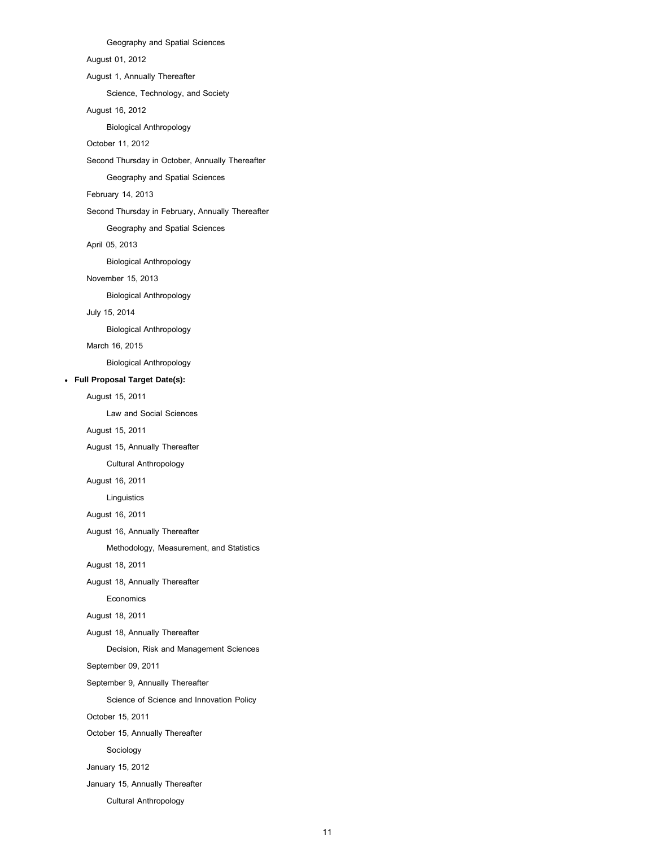Geography and Spatial Sciences August 01, 2012 August 1, Annually Thereafter Science, Technology, and Society August 16, 2012 Biological Anthropology October 11, 2012 Second Thursday in October, Annually Thereafter Geography and Spatial Sciences February 14, 2013 Second Thursday in February, Annually Thereafter Geography and Spatial Sciences April 05, 2013 Biological Anthropology November 15, 2013 Biological Anthropology July 15, 2014 Biological Anthropology March 16, 2015 Biological Anthropology **Full Proposal Target Date(s):** August 15, 2011 Law and Social Sciences August 15, 2011 August 15, Annually Thereafter Cultural Anthropology August 16, 2011 Linguistics August 16, 2011 August 16, Annually Thereafter Methodology, Measurement, and Statistics August 18, 2011 August 18, Annually Thereafter Economics August 18, 2011 August 18, Annually Thereafter Decision, Risk and Management Sciences September 09, 2011 September 9, Annually Thereafter Science of Science and Innovation Policy October 15, 2011 October 15, Annually Thereafter Sociology January 15, 2012 January 15, Annually Thereafter

Cultural Anthropology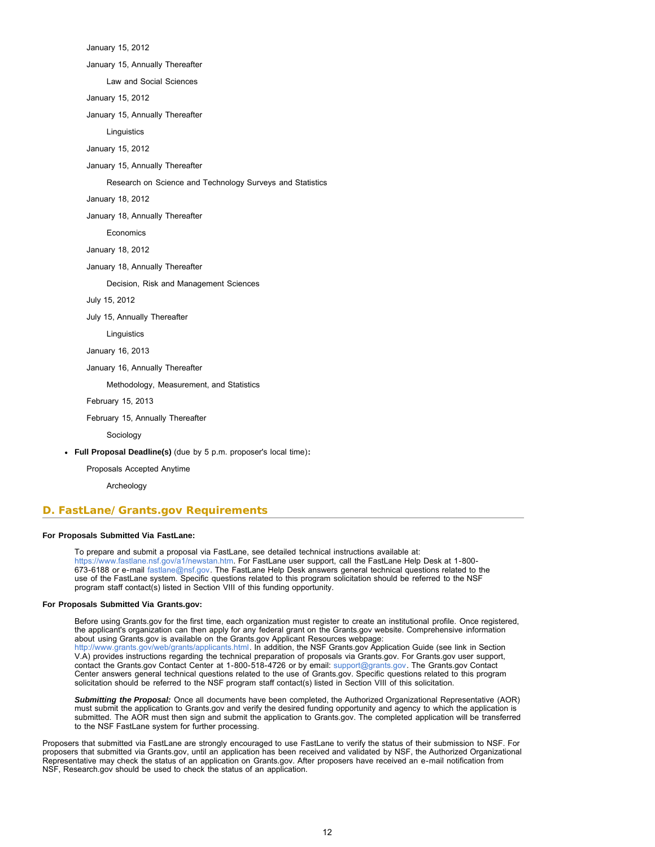January 15, 2012

January 15, Annually Thereafter

Law and Social Sciences

January 15, 2012

January 15, Annually Thereafter

**Linguistics** 

January 15, 2012

January 15, Annually Thereafter

Research on Science and Technology Surveys and Statistics

January 18, 2012

January 18, Annually Thereafter

Economics

January 18, 2012

January 18, Annually Thereafter

Decision, Risk and Management Sciences

July 15, 2012

July 15, Annually Thereafter

**Linguistics** 

January 16, 2013

January 16, Annually Thereafter

Methodology, Measurement, and Statistics

February 15, 2013

February 15, Annually Thereafter

Sociology

**Full Proposal Deadline(s)** (due by 5 p.m. proposer's local time)**:**

Proposals Accepted Anytime

Archeology

### <span id="page-11-0"></span>**D. FastLane/Grants.gov Requirements**

### **For Proposals Submitted Via FastLane:**

To prepare and submit a proposal via FastLane, see detailed technical instructions available at: [https://www.fastlane.nsf.gov/a1/newstan.htm.](https://www.fastlane.nsf.gov/a1/newstan.htm) For FastLane user support, call the FastLane Help Desk at 1-800- 673-6188 or e-mail [fastlane@nsf.gov.](mailto:fastlane@nsf.gov) The FastLane Help Desk answers general technical questions related to the use of the FastLane system. Specific questions related to this program solicitation should be referred to the NSF program staff contact(s) listed in Section VIII of this funding opportunity.

#### **For Proposals Submitted Via Grants.gov:**

Before using Grants.gov for the first time, each organization must register to create an institutional profile. Once registered, the applicant's organization can then apply for any federal grant on the Grants.gov website. Comprehensive information about using Grants.gov is available on the Grants.gov Applicant Resources webpage: [http://www.grants.gov/web/grants/applicants.html.](http://www.grants.gov/web/grants/applicants.html) In addition, the NSF Grants.gov Application Guide (see link in Section V.A) provides instructions regarding the technical preparation of proposals via Grants.gov. For Grants.gov user support, contact the Grants.gov Contact Center at 1-800-518-4726 or by email: [support@grants.gov](mailto:support@grants.gov). The Grants.gov Contact Center answers general technical questions related to the use of Grants.gov. Specific questions related to this program solicitation should be referred to the NSF program staff contact(s) listed in Section VIII of this solicitation.

*Submitting the Proposal:* Once all documents have been completed, the Authorized Organizational Representative (AOR) must submit the application to Grants.gov and verify the desired funding opportunity and agency to which the application is submitted. The AOR must then sign and submit the application to Grants.gov. The completed application will be transferred to the NSF FastLane system for further processing.

<span id="page-11-1"></span>Proposers that submitted via FastLane are strongly encouraged to use FastLane to verify the status of their submission to NSF. For proposers that submitted via Grants.gov, until an application has been received and validated by NSF, the Authorized Organizational Representative may check the status of an application on Grants.gov. After proposers have received an e-mail notification from NSF, Research.gov should be used to check the status of an application.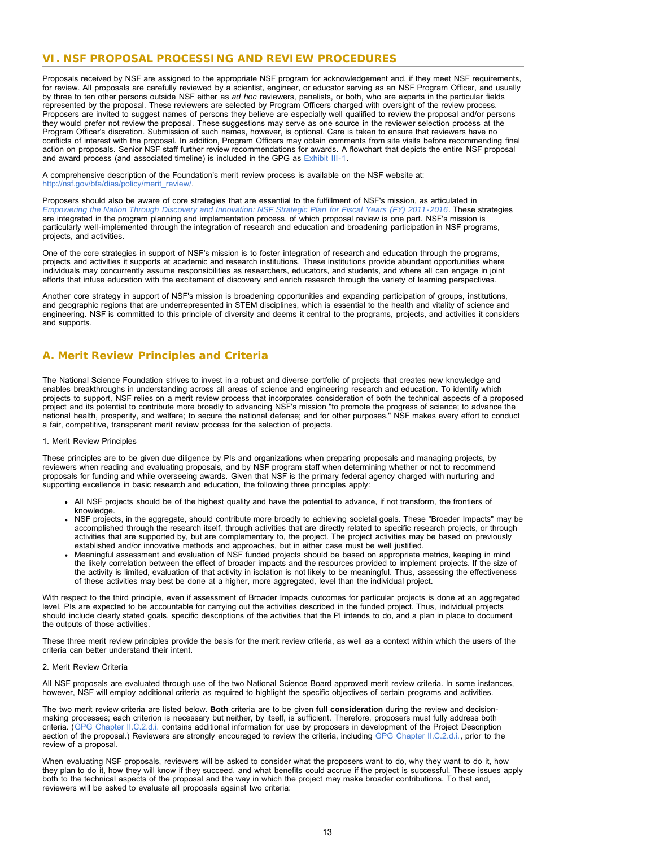# **VI. NSF PROPOSAL PROCESSING AND REVIEW PROCEDURES**

Proposals received by NSF are assigned to the appropriate NSF program for acknowledgement and, if they meet NSF requirements, for review. All proposals are carefully reviewed by a scientist, engineer, or educator serving as an NSF Program Officer, and usually by three to ten other persons outside NSF either as *ad hoc* reviewers, panelists, or both, who are experts in the particular fields represented by the proposal. These reviewers are selected by Program Officers charged with oversight of the review process. Proposers are invited to suggest names of persons they believe are especially well qualified to review the proposal and/or persons they would prefer not review the proposal. These suggestions may serve as one source in the reviewer selection process at the Program Officer's discretion. Submission of such names, however, is optional. Care is taken to ensure that reviewers have no conflicts of interest with the proposal. In addition, Program Officers may obtain comments from site visits before recommending final action on proposals. Senior NSF staff further review recommendations for awards. A flowchart that depicts the entire NSF proposal and award process (and associated timeline) is included in the GPG as [Exhibit III-1](http://www.nsf.gov/pubs/policydocs/pappguide/nsf13001/gpg_3ex1.pdf).

A comprehensive description of the Foundation's merit review process is available on the NSF website at: [http://nsf.gov/bfa/dias/policy/merit\\_review/.](http://nsf.gov/bfa/dias/policy/merit_review/)

Proposers should also be aware of core strategies that are essential to the fulfillment of NSF's mission, as articulated in *[Empowering the Nation Through Discovery and Innovation: NSF Strategic Plan for Fiscal Years \(FY\) 2011-2016](http://www.nsf.gov/news/strategicplan/nsfstrategicplan_2011_2016.pdf)*. These strategies are integrated in the program planning and implementation process, of which proposal review is one part. NSF's mission is particularly well-implemented through the integration of research and education and broadening participation in NSF programs, projects, and activities.

One of the core strategies in support of NSF's mission is to foster integration of research and education through the programs, projects and activities it supports at academic and research institutions. These institutions provide abundant opportunities where individuals may concurrently assume responsibilities as researchers, educators, and students, and where all can engage in joint efforts that infuse education with the excitement of discovery and enrich research through the variety of learning perspectives.

Another core strategy in support of NSF's mission is broadening opportunities and expanding participation of groups, institutions, and geographic regions that are underrepresented in STEM disciplines, which is essential to the health and vitality of science and engineering. NSF is committed to this principle of diversity and deems it central to the programs, projects, and activities it considers and supports.

# <span id="page-12-0"></span>**A. Merit Review Principles and Criteria**

The National Science Foundation strives to invest in a robust and diverse portfolio of projects that creates new knowledge and enables breakthroughs in understanding across all areas of science and engineering research and education. To identify which projects to support, NSF relies on a merit review process that incorporates consideration of both the technical aspects of a proposed project and its potential to contribute more broadly to advancing NSF's mission "to promote the progress of science; to advance the national health, prosperity, and welfare; to secure the national defense; and for other purposes." NSF makes every effort to conduct a fair, competitive, transparent merit review process for the selection of projects.

#### 1. Merit Review Principles

These principles are to be given due diligence by PIs and organizations when preparing proposals and managing projects, by reviewers when reading and evaluating proposals, and by NSF program staff when determining whether or not to recommend proposals for funding and while overseeing awards. Given that NSF is the primary federal agency charged with nurturing and supporting excellence in basic research and education, the following three principles apply:

- All NSF projects should be of the highest quality and have the potential to advance, if not transform, the frontiers of knowledge.
- NSF projects, in the aggregate, should contribute more broadly to achieving societal goals. These "Broader Impacts" may be accomplished through the research itself, through activities that are directly related to specific research projects, or through activities that are supported by, but are complementary to, the project. The project activities may be based on previously established and/or innovative methods and approaches, but in either case must be well justified.
- Meaningful assessment and evaluation of NSF funded projects should be based on appropriate metrics, keeping in mind the likely correlation between the effect of broader impacts and the resources provided to implement projects. If the size of the activity is limited, evaluation of that activity in isolation is not likely to be meaningful. Thus, assessing the effectiveness of these activities may best be done at a higher, more aggregated, level than the individual project.

With respect to the third principle, even if assessment of Broader Impacts outcomes for particular projects is done at an aggregated level, PIs are expected to be accountable for carrying out the activities described in the funded project. Thus, individual projects should include clearly stated goals, specific descriptions of the activities that the PI intends to do, and a plan in place to document the outputs of those activities.

These three merit review principles provide the basis for the merit review criteria, as well as a context within which the users of the criteria can better understand their intent.

#### 2. Merit Review Criteria

All NSF proposals are evaluated through use of the two National Science Board approved merit review criteria. In some instances, however, NSF will employ additional criteria as required to highlight the specific objectives of certain programs and activities.

The two merit review criteria are listed below. **Both** criteria are to be given **full consideration** during the review and decisionmaking processes; each criterion is necessary but neither, by itself, is sufficient. Therefore, proposers must fully address both criteria. ([GPG Chapter II.C.2.d.i.](http://www.nsf.gov/pubs/policydocs/pappguide/nsf13001/gpg_2.jsp#IIC2di) contains additional information for use by proposers in development of the Project Description section of the proposal.) Reviewers are strongly encouraged to review the criteria, including [GPG Chapter II.C.2.d.i.,](http://www.nsf.gov/pubs/policydocs/pappguide/nsf13001/gpg_2.jsp#IIC2di) prior to the review of a proposal.

When evaluating NSF proposals, reviewers will be asked to consider what the proposers want to do, why they want to do it, how they plan to do it, how they will know if they succeed, and what benefits could accrue if the project is successful. These issues apply both to the technical aspects of the proposal and the way in which the project may make broader contributions. To that end, reviewers will be asked to evaluate all proposals against two criteria: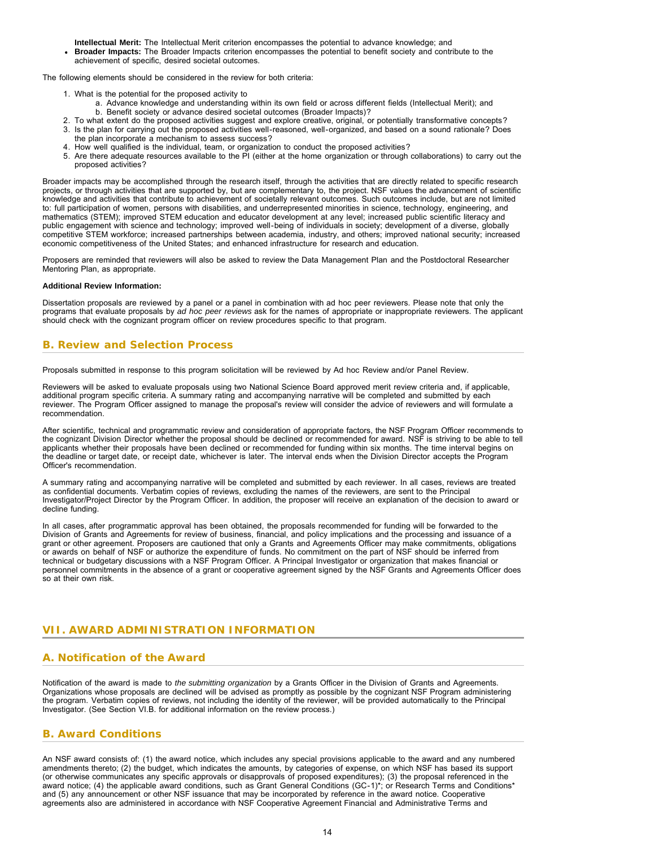**Intellectual Merit:** The Intellectual Merit criterion encompasses the potential to advance knowledge; and **Broader Impacts:** The Broader Impacts criterion encompasses the potential to benefit society and contribute to the achievement of specific, desired societal outcomes.

The following elements should be considered in the review for both criteria:

- 1. What is the potential for the proposed activity to
	- a. Advance knowledge and understanding within its own field or across different fields (Intellectual Merit); and b. Benefit society or advance desired societal outcomes (Broader Impacts)?
- 2. To what extent do the proposed activities suggest and explore creative, original, or potentially transformative concepts?
- 3. Is the plan for carrying out the proposed activities well-reasoned, well-organized, and based on a sound rationale? Does the plan incorporate a mechanism to assess success?
- 4. How well qualified is the individual, team, or organization to conduct the proposed activities?
- 5. Are there adequate resources available to the PI (either at the home organization or through collaborations) to carry out the proposed activities?

Broader impacts may be accomplished through the research itself, through the activities that are directly related to specific research projects, or through activities that are supported by, but are complementary to, the project. NSF values the advancement of scientific knowledge and activities that contribute to achievement of societally relevant outcomes. Such outcomes include, but are not limited to: full participation of women, persons with disabilities, and underrepresented minorities in science, technology, engineering, and mathematics (STEM); improved STEM education and educator development at any level; increased public scientific literacy and public engagement with science and technology; improved well-being of individuals in society; development of a diverse, globally competitive STEM workforce; increased partnerships between academia, industry, and others; improved national security; increased economic competitiveness of the United States; and enhanced infrastructure for research and education.

Proposers are reminded that reviewers will also be asked to review the Data Management Plan and the Postdoctoral Researcher Mentoring Plan, as appropriate.

#### **Additional Review Information:**

Dissertation proposals are reviewed by a panel or a panel in combination with ad hoc peer reviewers. Please note that only the programs that evaluate proposals by *ad hoc peer reviews* ask for the names of appropriate or inappropriate reviewers. The applicant should check with the cognizant program officer on review procedures specific to that program.

# <span id="page-13-0"></span>**B. Review and Selection Process**

Proposals submitted in response to this program solicitation will be reviewed by Ad hoc Review and/or Panel Review.

Reviewers will be asked to evaluate proposals using two National Science Board approved merit review criteria and, if applicable, additional program specific criteria. A summary rating and accompanying narrative will be completed and submitted by each reviewer. The Program Officer assigned to manage the proposal's review will consider the advice of reviewers and will formulate a recommendation.

After scientific, technical and programmatic review and consideration of appropriate factors, the NSF Program Officer recommends to the cognizant Division Director whether the proposal should be declined or recommended for award. NSF is striving to be able to tell applicants whether their proposals have been declined or recommended for funding within six months. The time interval begins on the deadline or target date, or receipt date, whichever is later. The interval ends when the Division Director accepts the Program Officer's recommendation.

A summary rating and accompanying narrative will be completed and submitted by each reviewer. In all cases, reviews are treated as confidential documents. Verbatim copies of reviews, excluding the names of the reviewers, are sent to the Principal Investigator/Project Director by the Program Officer. In addition, the proposer will receive an explanation of the decision to award or decline funding.

In all cases, after programmatic approval has been obtained, the proposals recommended for funding will be forwarded to the Division of Grants and Agreements for review of business, financial, and policy implications and the processing and issuance of a grant or other agreement. Proposers are cautioned that only a Grants and Agreements Officer may make commitments, obligations or awards on behalf of NSF or authorize the expenditure of funds. No commitment on the part of NSF should be inferred from technical or budgetary discussions with a NSF Program Officer. A Principal Investigator or organization that makes financial or personnel commitments in the absence of a grant or cooperative agreement signed by the NSF Grants and Agreements Officer does so at their own risk.

# <span id="page-13-1"></span>**VII. AWARD ADMINISTRATION INFORMATION**

# <span id="page-13-2"></span>**A. Notification of the Award**

Notification of the award is made to *the submitting organization* by a Grants Officer in the Division of Grants and Agreements. Organizations whose proposals are declined will be advised as promptly as possible by the cognizant NSF Program administering the program. Verbatim copies of reviews, not including the identity of the reviewer, will be provided automatically to the Principal Investigator. (See Section VI.B. for additional information on the review process.)

# <span id="page-13-3"></span>**B. Award Conditions**

An NSF award consists of: (1) the award notice, which includes any special provisions applicable to the award and any numbered amendments thereto; (2) the budget, which indicates the amounts, by categories of expense, on which NSF has based its support (or otherwise communicates any specific approvals or disapprovals of proposed expenditures); (3) the proposal referenced in the award notice; (4) the applicable award conditions, such as Grant General Conditions (GC-1)\*; or Research Terms and Conditions\* and (5) any announcement or other NSF issuance that may be incorporated by reference in the award notice. Cooperative agreements also are administered in accordance with NSF Cooperative Agreement Financial and Administrative Terms and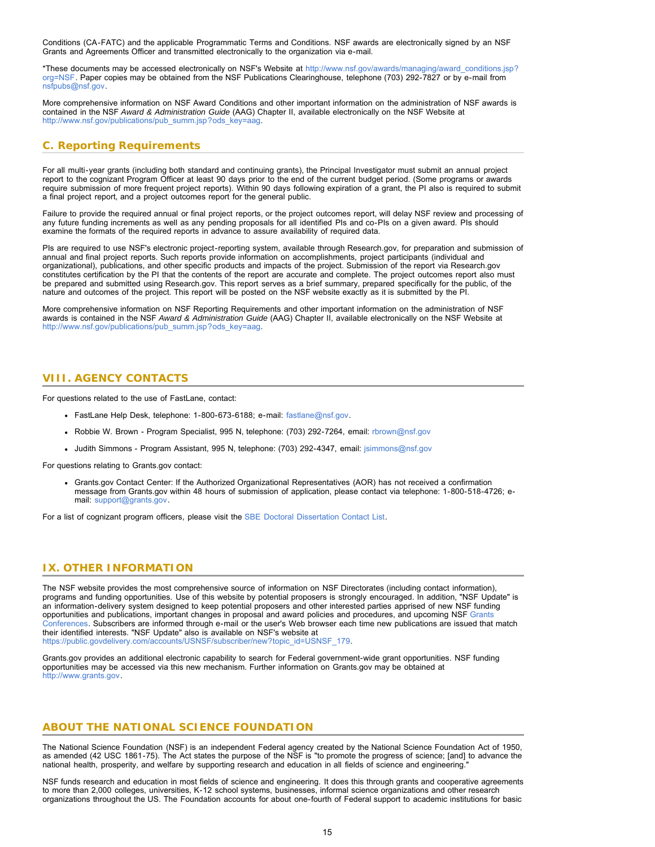Conditions (CA-FATC) and the applicable Programmatic Terms and Conditions. NSF awards are electronically signed by an NSF Grants and Agreements Officer and transmitted electronically to the organization via e-mail.

\*These documents may be accessed electronically on NSF's Website at [http://www.nsf.gov/awards/managing/award\\_conditions.jsp?](http://www.nsf.gov/awards/managing/award_conditions.jsp?org=NSF) [org=NSF.](http://www.nsf.gov/awards/managing/award_conditions.jsp?org=NSF) Paper copies may be obtained from the NSF Publications Clearinghouse, telephone (703) 292-7827 or by e-mail from [nsfpubs@nsf.gov.](mailto:nsfpubs@nsf.gov)

More comprehensive information on NSF Award Conditions and other important information on the administration of NSF awards is contained in the NSF *Award & Administration Guide* (AAG) Chapter II, available electronically on the NSF Website at [http://www.nsf.gov/publications/pub\\_summ.jsp?ods\\_key=aag.](http://www.nsf.gov/publications/pub_summ.jsp?ods_key=aag)

# <span id="page-14-0"></span>**C. Reporting Requirements**

For all multi-year grants (including both standard and continuing grants), the Principal Investigator must submit an annual project report to the cognizant Program Officer at least 90 days prior to the end of the current budget period. (Some programs or awards require submission of more frequent project reports). Within 90 days following expiration of a grant, the PI also is required to submit a final project report, and a project outcomes report for the general public.

Failure to provide the required annual or final project reports, or the project outcomes report, will delay NSF review and processing of any future funding increments as well as any pending proposals for all identified PIs and co-PIs on a given award. PIs should examine the formats of the required reports in advance to assure availability of required data.

PIs are required to use NSF's electronic project-reporting system, available through Research.gov, for preparation and submission of annual and final project reports. Such reports provide information on accomplishments, project participants (individual and organizational), publications, and other specific products and impacts of the project. Submission of the report via Research.gov constitutes certification by the PI that the contents of the report are accurate and complete. The project outcomes report also must be prepared and submitted using Research.gov. This report serves as a brief summary, prepared specifically for the public, of the nature and outcomes of the project. This report will be posted on the NSF website exactly as it is submitted by the PI.

More comprehensive information on NSF Reporting Requirements and other important information on the administration of NSF awards is contained in the NSF *Award & Administration Guide* (AAG) Chapter II, available electronically on the NSF Website at [http://www.nsf.gov/publications/pub\\_summ.jsp?ods\\_key=aag.](http://www.nsf.gov/publications/pub_summ.jsp?ods_key=aag)

# <span id="page-14-1"></span>**VIII. AGENCY CONTACTS**

For questions related to the use of FastLane, contact:

- FastLane Help Desk, telephone: 1-800-673-6188; e-mail: [fastlane@nsf.gov.](mailto:fastlane@nsf.gov)
- Robbie W. Brown Program Specialist, 995 N, telephone: (703) 292-7264, email: [rbrown@nsf.gov](mailto:rbrown@nsf.gov)
- Judith Simmons Program Assistant, 995 N, telephone: (703) 292-4347, email: [jsimmons@nsf.gov](mailto:jsimmons@nsf.gov)

For questions relating to Grants.gov contact:

Grants.gov Contact Center: If the Authorized Organizational Representatives (AOR) has not received a confirmation message from Grants.gov within 48 hours of submission of application, please contact via telephone: 1-800-518-4726; email: [support@grants.gov.](mailto:support@grants.gov)

For a list of cognizant program officers, please visit the [SBE Doctoral Dissertation Contact List](http://www.nsf.gov/sbe/ddrig_contacts.jsp).

# <span id="page-14-2"></span>**IX. OTHER INFORMATION**

The NSF website provides the most comprehensive source of information on NSF Directorates (including contact information), programs and funding opportunities. Use of this website by potential proposers is strongly encouraged. In addition, "NSF Update" is an information-delivery system designed to keep potential proposers and other interested parties apprised of new NSF funding opportunities and publications, important changes in proposal and award policies and procedures, and upcoming NSF [Grants](http://www.nsf.gov/bfa/dias/policy/outreach.jsp) [Conferences.](http://www.nsf.gov/bfa/dias/policy/outreach.jsp) Subscribers are informed through e-mail or the user's Web browser each time new publications are issued that match their identified interests. "NSF Update" also is available on NSF's website at [https://public.govdelivery.com/accounts/USNSF/subscriber/new?topic\\_id=USNSF\\_179.](http://www.nsf.gov/cgi-bin/good-bye?https://public.govdelivery.com/accounts/USNSF/subscriber/new?topic_id=USNSF_179)

Grants.gov provides an additional electronic capability to search for Federal government-wide grant opportunities. NSF funding opportunities may be accessed via this new mechanism. Further information on Grants.gov may be obtained at [http://www.grants.gov.](http://www.grants.gov/)

# **ABOUT THE NATIONAL SCIENCE FOUNDATION**

The National Science Foundation (NSF) is an independent Federal agency created by the National Science Foundation Act of 1950, as amended (42 USC 1861-75). The Act states the purpose of the NSF is "to promote the progress of science; [and] to advance the national health, prosperity, and welfare by supporting research and education in all fields of science and engineering."

NSF funds research and education in most fields of science and engineering. It does this through grants and cooperative agreements to more than 2,000 colleges, universities, K-12 school systems, businesses, informal science organizations and other research organizations throughout the US. The Foundation accounts for about one-fourth of Federal support to academic institutions for basic